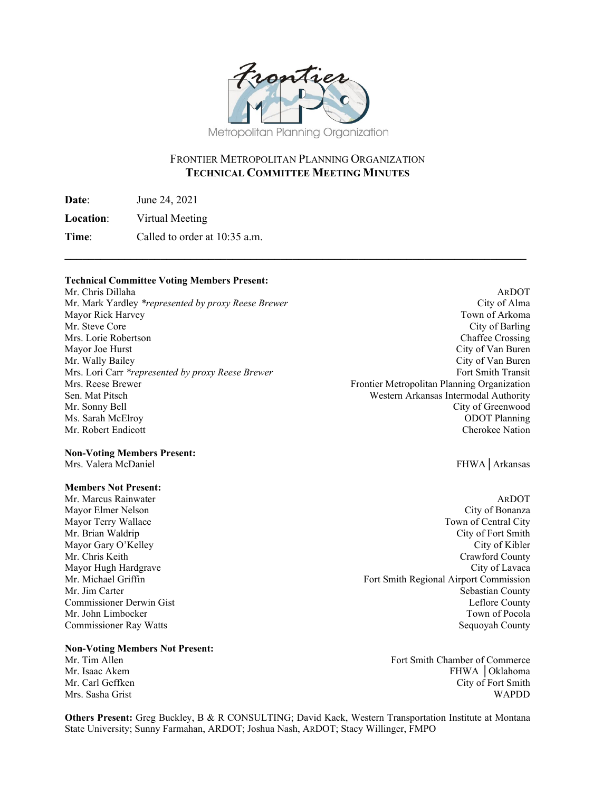

### FRONTIER METROPOLITAN PLANNING ORGANIZATION **TECHNICAL COMMITTEE MEETING MINUTES**

**\_\_\_\_\_\_\_\_\_\_\_\_\_\_\_\_\_\_\_\_\_\_\_\_\_\_\_\_\_\_\_\_\_\_\_\_\_\_\_\_\_\_\_\_\_\_\_\_\_\_\_\_\_\_\_\_\_\_\_\_\_\_\_\_\_\_\_\_\_\_\_\_\_\_\_\_\_** 

**Date**: June 24, 2021

**Location**: Virtual Meeting

**Time:** Called to order at 10:35 a.m.

#### **Technical Committee Voting Members Present:**

Mr. Chris Dillaha ARDOT Mr. Mark Yardley *\*represented by proxy Reese Brewer* City of Alma<br>
Mayor Rick Harvey City of Arkoma Mayor Rick Harvey Mr. Steve Core City of Barling City of Barling Mrs. Lorie Robertson **Chaffee Crossing** Chaffee Crossing Mayor Joe Hurst City of Van Buren Mr. Wally Bailey City of Van Buren Mrs. Lori Carr *\*represented by proxy Reese Brewer*<br>Mrs. Reese Brewer Fort Smith Transit<br>Frontier Metropolitan Planning Organization Sen. Mat Pitsch Western Arkansas Intermodal Authority Mr. Sonny Bell City of Greenwood Ms. Sarah McElroy ODOT Planning<br>
Mr. Robert Endicott Cherokee Nation Mr. Robert Endicott

#### **Non-Voting Members Present:**

Mrs. Valera McDaniel FHWA│Arkansas

#### **Members Not Present:**

Mr. Marcus Rainwater **ARDOT** ARDOT

# **Non-Voting Members Not Present:**

Fort Smith Chamber of Commerce Mr. Isaac Akem FHWA │Oklahoma Mr. Carl Geffken City of Fort Smith Mrs. Sasha Grist WAPDD

**Others Present:** Greg Buckley, B & R CONSULTING; David Kack, Western Transportation Institute at Montana State University; Sunny Farmahan, ARDOT; Joshua Nash, ARDOT; Stacy Willinger, FMPO

Frontier Metropolitan Planning Organization

Mayor Elmer Nelson City of Bonanza Mayor Terry Wallace Town of Central City Mr. Brian Waldrip City of Fort Smith Mayor Gary O'Kelley City of Kibler Mr. Chris Keith Crawford County Mayor Hugh Hardgrave City of Lavaca Mr. Michael Griffin Fort Smith Regional Airport Commission Mr. Jim Carter Sebastian County Commissioner Derwin Gist Leflore County Mr. John Limbocker Town of Pocola Commissioner Ray Watts Sequoyah County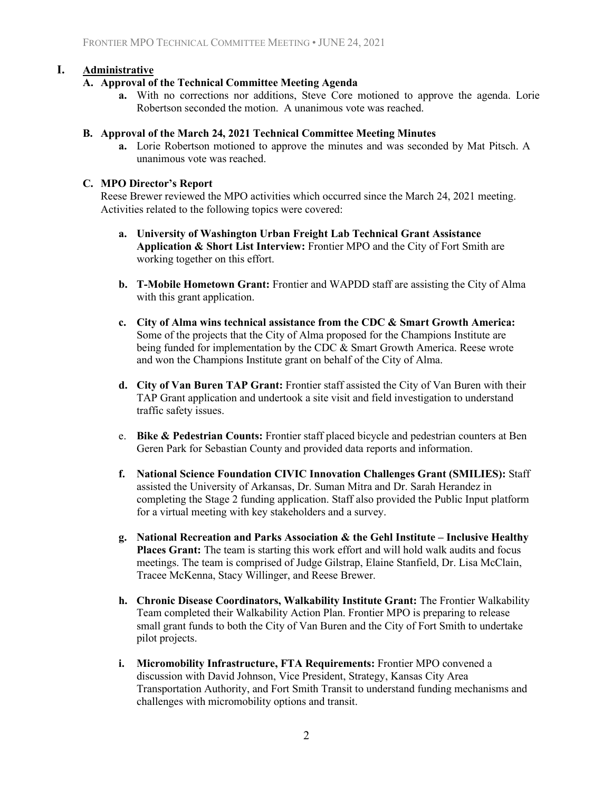### **I. Administrative**

#### **A. Approval of the Technical Committee Meeting Agenda**

**a.** With no corrections nor additions, Steve Core motioned to approve the agenda. Lorie Robertson seconded the motion. A unanimous vote was reached.

#### **B. Approval of the March 24, 2021 Technical Committee Meeting Minutes**

**a.** Lorie Robertson motioned to approve the minutes and was seconded by Mat Pitsch. A unanimous vote was reached.

#### **C. MPO Director's Report**

Reese Brewer reviewed the MPO activities which occurred since the March 24, 2021 meeting. Activities related to the following topics were covered:

- **a. University of Washington Urban Freight Lab Technical Grant Assistance Application & Short List Interview:** Frontier MPO and the City of Fort Smith are working together on this effort.
- **b. T-Mobile Hometown Grant:** Frontier and WAPDD staff are assisting the City of Alma with this grant application.
- **c. City of Alma wins technical assistance from the CDC & Smart Growth America:**  Some of the projects that the City of Alma proposed for the Champions Institute are being funded for implementation by the CDC & Smart Growth America. Reese wrote and won the Champions Institute grant on behalf of the City of Alma.
- **d. City of Van Buren TAP Grant:** Frontier staff assisted the City of Van Buren with their TAP Grant application and undertook a site visit and field investigation to understand traffic safety issues.
- e. **Bike & Pedestrian Counts:** Frontier staff placed bicycle and pedestrian counters at Ben Geren Park for Sebastian County and provided data reports and information.
- **f. National Science Foundation CIVIC Innovation Challenges Grant (SMILIES):** Staff assisted the University of Arkansas, Dr. Suman Mitra and Dr. Sarah Herandez in completing the Stage 2 funding application. Staff also provided the Public Input platform for a virtual meeting with key stakeholders and a survey.
- **g. National Recreation and Parks Association & the Gehl Institute Inclusive Healthy Places Grant:** The team is starting this work effort and will hold walk audits and focus meetings. The team is comprised of Judge Gilstrap, Elaine Stanfield, Dr. Lisa McClain, Tracee McKenna, Stacy Willinger, and Reese Brewer.
- **h. Chronic Disease Coordinators, Walkability Institute Grant:** The Frontier Walkability Team completed their Walkability Action Plan. Frontier MPO is preparing to release small grant funds to both the City of Van Buren and the City of Fort Smith to undertake pilot projects.
- **i. Micromobility Infrastructure, FTA Requirements:** Frontier MPO convened a discussion with David Johnson, Vice President, Strategy, Kansas City Area Transportation Authority, and Fort Smith Transit to understand funding mechanisms and challenges with micromobility options and transit.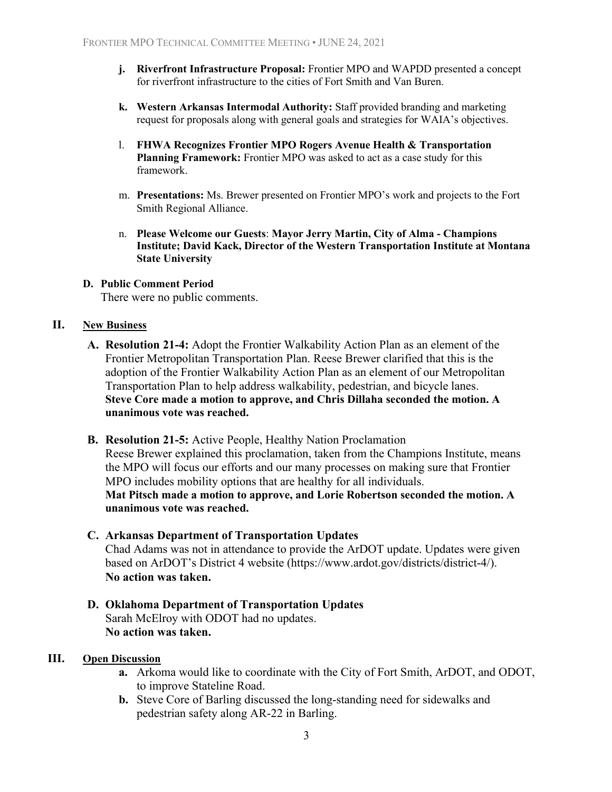- **j. Riverfront Infrastructure Proposal:** Frontier MPO and WAPDD presented a concept for riverfront infrastructure to the cities of Fort Smith and Van Buren.
- **k. Western Arkansas Intermodal Authority:** Staff provided branding and marketing request for proposals along with general goals and strategies for WAIA's objectives.
- l. **FHWA Recognizes Frontier MPO Rogers Avenue Health & Transportation Planning Framework:** Frontier MPO was asked to act as a case study for this framework.
- m. **Presentations:** Ms. Brewer presented on Frontier MPO's work and projects to the Fort Smith Regional Alliance.
- n. **Please Welcome our Guests**: **Mayor Jerry Martin, City of Alma Champions Institute; David Kack, Director of the Western Transportation Institute at Montana State University**

#### **D. Public Comment Period**

There were no public comments.

#### **II. New Business**

- **A. Resolution 21-4:** Adopt the Frontier Walkability Action Plan as an element of the Frontier Metropolitan Transportation Plan. Reese Brewer clarified that this is the adoption of the Frontier Walkability Action Plan as an element of our Metropolitan Transportation Plan to help address walkability, pedestrian, and bicycle lanes. **Steve Core made a motion to approve, and Chris Dillaha seconded the motion. A unanimous vote was reached.**
- **B. Resolution 21-5:** Active People, Healthy Nation Proclamation

Reese Brewer explained this proclamation, taken from the Champions Institute, means the MPO will focus our efforts and our many processes on making sure that Frontier MPO includes mobility options that are healthy for all individuals. **Mat Pitsch made a motion to approve, and Lorie Robertson seconded the motion. A unanimous vote was reached.**

#### **C. Arkansas Department of Transportation Updates**

Chad Adams was not in attendance to provide the ArDOT update. Updates were given based on ArDOT's District 4 website (https://www.ardot.gov/districts/district-4/). **No action was taken.** 

#### **D. Oklahoma Department of Transportation Updates** Sarah McElroy with ODOT had no updates. **No action was taken.**

#### **III. Open Discussion**

- **a.** Arkoma would like to coordinate with the City of Fort Smith, ArDOT, and ODOT, to improve Stateline Road.
- **b.** Steve Core of Barling discussed the long-standing need for sidewalks and pedestrian safety along AR-22 in Barling.